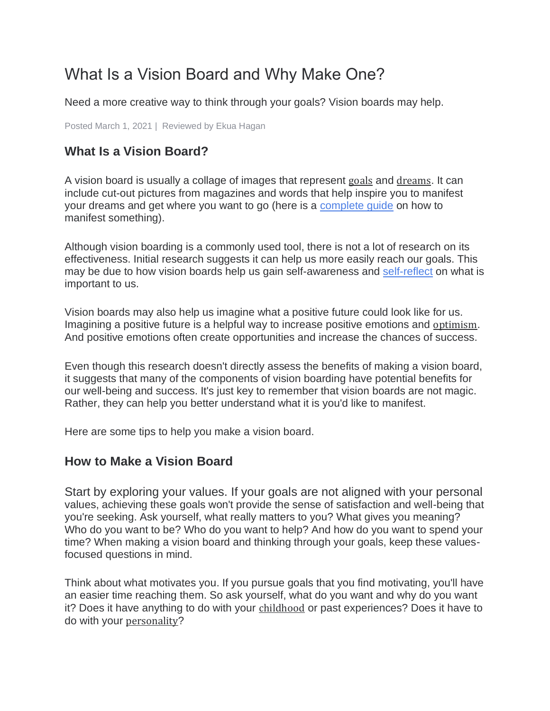# What Is a Vision Board and Why Make One?

Need a more creative way to think through your goals? Vision boards may help.

Posted March 1, 2021 | [Reviewed by Ekua Hagan](https://www.psychologytoday.com/us/docs/editorial-process)

## **What Is a Vision Board?**

A vision board is usually a collage of images that represent [goals](https://www.psychologytoday.com/us/basics/motivation) and [dreams](https://www.psychologytoday.com/us/basics/dreaming). It can include cut-out pictures from magazines and words that help inspire you to manifest your dreams and get where you want to go (here is a [complete guide](https://www.berkeleywellbeing.com/how-to-manifest.html) on how to manifest something).

Although vision boarding is a commonly used tool, there is not a lot of research on its effectiveness. Initial research suggests it can help us more easily reach our goals. This may be due to how vision boards help us gain self-awareness and [self-reflect](https://www.berkeleywellbeing.com/what-is-self-reflection.html) on what is important to us.

Vision boards may also help us imagine what a positive future could look like for us. Imagining a positive future is a helpful way to increase positive emotions and [optimism](https://www.psychologytoday.com/us/basics/optimism). And positive emotions often create opportunities and increase the chances of success.

Even though this research doesn't directly assess the benefits of making a vision board, it suggests that many of the components of vision boarding have potential benefits for our well-being and success. It's just key to remember that vision boards are not magic. Rather, they can help you better understand what it is you'd like to manifest.

Here are some tips to help you make a vision board.

### **How to Make a Vision Board**

Start by exploring your values. If your goals are not aligned with your personal values, achieving these goals won't provide the sense of satisfaction and well-being that you're seeking. Ask yourself, what really matters to you? What gives you meaning? Who do you want to be? Who do you want to help? And how do you want to spend your time? When making a vision board and thinking through your goals, keep these valuesfocused questions in mind.

Think about what motivates you. If you pursue goals that you find motivating, you'll have an easier time reaching them. So ask yourself, what do you want and why do you want it? Does it have anything to do with your [childhood](https://www.psychologytoday.com/us/basics/child-development) or past experiences? Does it have to do with your [personality](https://www.psychologytoday.com/us/basics/personality)?